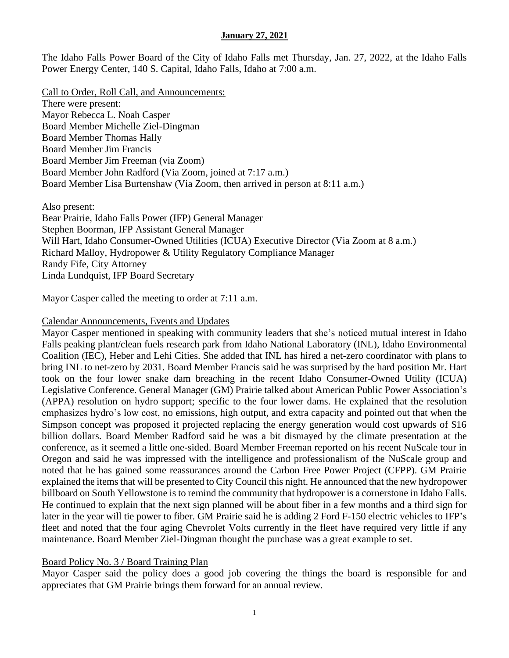The Idaho Falls Power Board of the City of Idaho Falls met Thursday, Jan. 27, 2022, at the Idaho Falls Power Energy Center, 140 S. Capital, Idaho Falls, Idaho at 7:00 a.m.

Call to Order, Roll Call, and Announcements: There were present: Mayor Rebecca L. Noah Casper Board Member Michelle Ziel-Dingman Board Member Thomas Hally Board Member Jim Francis Board Member Jim Freeman (via Zoom) Board Member John Radford (Via Zoom, joined at 7:17 a.m.) Board Member Lisa Burtenshaw (Via Zoom, then arrived in person at 8:11 a.m.)

Also present: Bear Prairie, Idaho Falls Power (IFP) General Manager Stephen Boorman, IFP Assistant General Manager Will Hart, Idaho Consumer-Owned Utilities (ICUA) Executive Director (Via Zoom at 8 a.m.) Richard Malloy, Hydropower & Utility Regulatory Compliance Manager Randy Fife, City Attorney Linda Lundquist, IFP Board Secretary

Mayor Casper called the meeting to order at 7:11 a.m.

## Calendar Announcements, Events and Updates

Mayor Casper mentioned in speaking with community leaders that she's noticed mutual interest in Idaho Falls peaking plant/clean fuels research park from Idaho National Laboratory (INL), Idaho Environmental Coalition (IEC), Heber and Lehi Cities. She added that INL has hired a net-zero coordinator with plans to bring INL to net-zero by 2031. Board Member Francis said he was surprised by the hard position Mr. Hart took on the four lower snake dam breaching in the recent Idaho Consumer-Owned Utility (ICUA) Legislative Conference. General Manager (GM) Prairie talked about American Public Power Association's (APPA) resolution on hydro support; specific to the four lower dams. He explained that the resolution emphasizes hydro's low cost, no emissions, high output, and extra capacity and pointed out that when the Simpson concept was proposed it projected replacing the energy generation would cost upwards of \$16 billion dollars. Board Member Radford said he was a bit dismayed by the climate presentation at the conference, as it seemed a little one-sided. Board Member Freeman reported on his recent NuScale tour in Oregon and said he was impressed with the intelligence and professionalism of the NuScale group and noted that he has gained some reassurances around the Carbon Free Power Project (CFPP). GM Prairie explained the items that will be presented to City Council this night. He announced that the new hydropower billboard on South Yellowstone is to remind the community that hydropower is a cornerstone in Idaho Falls. He continued to explain that the next sign planned will be about fiber in a few months and a third sign for later in the year will tie power to fiber. GM Prairie said he is adding 2 Ford F-150 electric vehicles to IFP's fleet and noted that the four aging Chevrolet Volts currently in the fleet have required very little if any maintenance. Board Member Ziel-Dingman thought the purchase was a great example to set.

## Board Policy No. 3 / Board Training Plan

Mayor Casper said the policy does a good job covering the things the board is responsible for and appreciates that GM Prairie brings them forward for an annual review.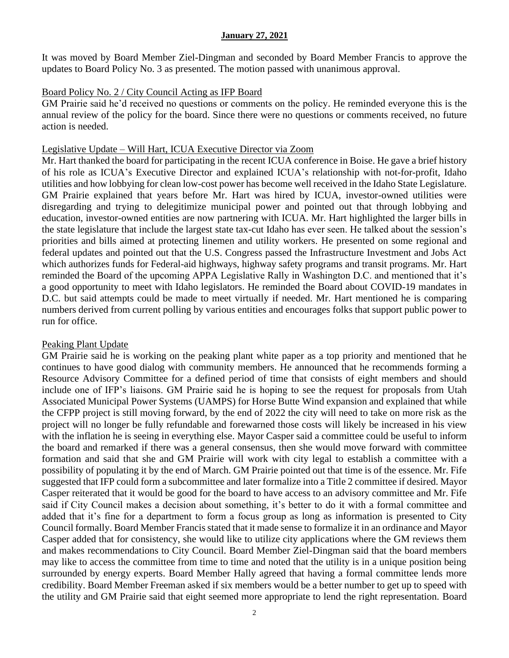It was moved by Board Member Ziel-Dingman and seconded by Board Member Francis to approve the updates to Board Policy No. 3 as presented. The motion passed with unanimous approval.

# Board Policy No. 2 / City Council Acting as IFP Board

GM Prairie said he'd received no questions or comments on the policy. He reminded everyone this is the annual review of the policy for the board. Since there were no questions or comments received, no future action is needed.

# Legislative Update – Will Hart, ICUA Executive Director via Zoom

Mr. Hart thanked the board for participating in the recent ICUA conference in Boise. He gave a brief history of his role as ICUA's Executive Director and explained ICUA's relationship with not-for-profit, Idaho utilities and how lobbying for clean low-cost power has become well received in the Idaho State Legislature. GM Prairie explained that years before Mr. Hart was hired by ICUA, investor-owned utilities were disregarding and trying to delegitimize municipal power and pointed out that through lobbying and education, investor-owned entities are now partnering with ICUA. Mr. Hart highlighted the larger bills in the state legislature that include the largest state tax-cut Idaho has ever seen. He talked about the session's priorities and bills aimed at protecting linemen and utility workers. He presented on some regional and federal updates and pointed out that the U.S. Congress passed the Infrastructure Investment and Jobs Act which authorizes funds for Federal-aid highways, highway safety programs and transit programs. Mr. Hart reminded the Board of the upcoming APPA Legislative Rally in Washington D.C. and mentioned that it's a good opportunity to meet with Idaho legislators. He reminded the Board about COVID-19 mandates in D.C. but said attempts could be made to meet virtually if needed. Mr. Hart mentioned he is comparing numbers derived from current polling by various entities and encourages folks that support public power to run for office.

# Peaking Plant Update

GM Prairie said he is working on the peaking plant white paper as a top priority and mentioned that he continues to have good dialog with community members. He announced that he recommends forming a Resource Advisory Committee for a defined period of time that consists of eight members and should include one of IFP's liaisons. GM Prairie said he is hoping to see the request for proposals from Utah Associated Municipal Power Systems (UAMPS) for Horse Butte Wind expansion and explained that while the CFPP project is still moving forward, by the end of 2022 the city will need to take on more risk as the project will no longer be fully refundable and forewarned those costs will likely be increased in his view with the inflation he is seeing in everything else. Mayor Casper said a committee could be useful to inform the board and remarked if there was a general consensus, then she would move forward with committee formation and said that she and GM Prairie will work with city legal to establish a committee with a possibility of populating it by the end of March. GM Prairie pointed out that time is of the essence. Mr. Fife suggested that IFP could form a subcommittee and later formalize into a Title 2 committee if desired. Mayor Casper reiterated that it would be good for the board to have access to an advisory committee and Mr. Fife said if City Council makes a decision about something, it's better to do it with a formal committee and added that it's fine for a department to form a focus group as long as information is presented to City Council formally. Board Member Francis stated that it made sense to formalize it in an ordinance and Mayor Casper added that for consistency, she would like to utilize city applications where the GM reviews them and makes recommendations to City Council. Board Member Ziel-Dingman said that the board members may like to access the committee from time to time and noted that the utility is in a unique position being surrounded by energy experts. Board Member Hally agreed that having a formal committee lends more credibility. Board Member Freeman asked if six members would be a better number to get up to speed with the utility and GM Prairie said that eight seemed more appropriate to lend the right representation. Board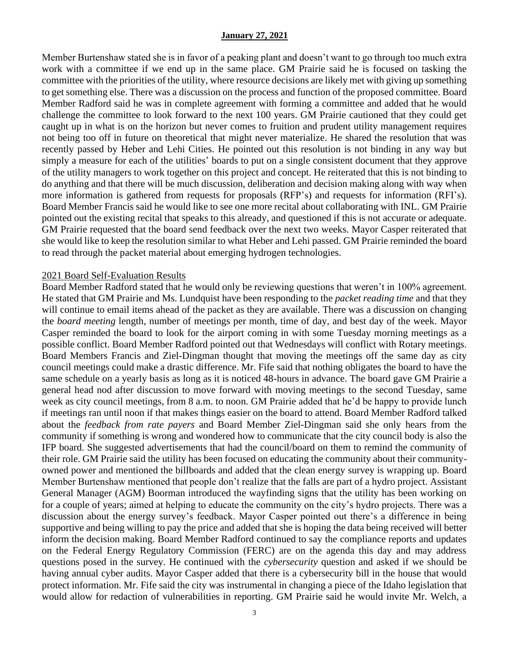Member Burtenshaw stated she is in favor of a peaking plant and doesn't want to go through too much extra work with a committee if we end up in the same place. GM Prairie said he is focused on tasking the committee with the priorities of the utility, where resource decisions are likely met with giving up something to get something else. There was a discussion on the process and function of the proposed committee. Board Member Radford said he was in complete agreement with forming a committee and added that he would challenge the committee to look forward to the next 100 years. GM Prairie cautioned that they could get caught up in what is on the horizon but never comes to fruition and prudent utility management requires not being too off in future on theoretical that might never materialize. He shared the resolution that was recently passed by Heber and Lehi Cities. He pointed out this resolution is not binding in any way but simply a measure for each of the utilities' boards to put on a single consistent document that they approve of the utility managers to work together on this project and concept. He reiterated that this is not binding to do anything and that there will be much discussion, deliberation and decision making along with way when more information is gathered from requests for proposals (RFP's) and requests for information (RFI's). Board Member Francis said he would like to see one more recital about collaborating with INL. GM Prairie pointed out the existing recital that speaks to this already, and questioned if this is not accurate or adequate. GM Prairie requested that the board send feedback over the next two weeks. Mayor Casper reiterated that she would like to keep the resolution similar to what Heber and Lehi passed. GM Prairie reminded the board to read through the packet material about emerging hydrogen technologies.

#### 2021 Board Self-Evaluation Results

Board Member Radford stated that he would only be reviewing questions that weren't in 100% agreement. He stated that GM Prairie and Ms. Lundquist have been responding to the *packet reading time* and that they will continue to email items ahead of the packet as they are available. There was a discussion on changing the *board meeting* length, number of meetings per month, time of day, and best day of the week. Mayor Casper reminded the board to look for the airport coming in with some Tuesday morning meetings as a possible conflict. Board Member Radford pointed out that Wednesdays will conflict with Rotary meetings. Board Members Francis and Ziel-Dingman thought that moving the meetings off the same day as city council meetings could make a drastic difference. Mr. Fife said that nothing obligates the board to have the same schedule on a yearly basis as long as it is noticed 48-hours in advance. The board gave GM Prairie a general head nod after discussion to move forward with moving meetings to the second Tuesday, same week as city council meetings, from 8 a.m. to noon. GM Prairie added that he'd be happy to provide lunch if meetings ran until noon if that makes things easier on the board to attend. Board Member Radford talked about the *feedback from rate payers* and Board Member Ziel-Dingman said she only hears from the community if something is wrong and wondered how to communicate that the city council body is also the IFP board. She suggested advertisements that had the council/board on them to remind the community of their role. GM Prairie said the utility has been focused on educating the community about their communityowned power and mentioned the billboards and added that the clean energy survey is wrapping up. Board Member Burtenshaw mentioned that people don't realize that the falls are part of a hydro project. Assistant General Manager (AGM) Boorman introduced the wayfinding signs that the utility has been working on for a couple of years; aimed at helping to educate the community on the city's hydro projects. There was a discussion about the energy survey's feedback. Mayor Casper pointed out there's a difference in being supportive and being willing to pay the price and added that she is hoping the data being received will better inform the decision making. Board Member Radford continued to say the compliance reports and updates on the Federal Energy Regulatory Commission (FERC) are on the agenda this day and may address questions posed in the survey. He continued with the *cybersecurity* question and asked if we should be having annual cyber audits. Mayor Casper added that there is a cybersecurity bill in the house that would protect information. Mr. Fife said the city was instrumental in changing a piece of the Idaho legislation that would allow for redaction of vulnerabilities in reporting. GM Prairie said he would invite Mr. Welch, a